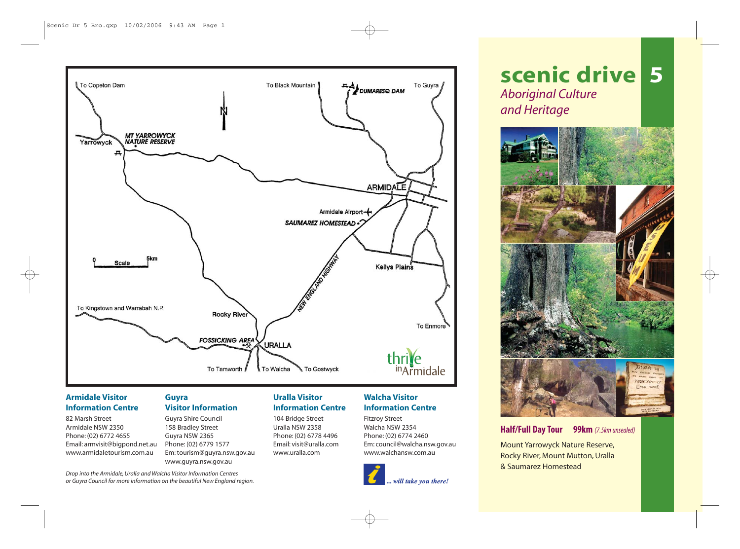

## **Armidale Visitor Information Centre**

82 Marsh Street Armidale NSW 2350 Phone: (02) 6772 4655 Email: armvisit@bigpond.net.au www.armidaletourism.com.au

## **Guyra Visitor Information**

Guyra Shire Council 158 Bradley Street Guyra NSW 2365 Phone: (02) 6779 1577 Em: tourism@guyra.nsw.gov.au www.guyra.nsw.gov.au

## **Uralla Visitor Information Centre**

104 Bridge Street Uralla NSW 2358 Phone: (02) 6778 4496 Email: visit@uralla.com www.uralla.com

# **Walcha Visitor Information Centre**

Fitzroy Street Walcha NSW 2354 Phone: (02) 6774 2460 Em: council@walcha.nsw.gov.au www.walchansw.com.au



# **scenic drive 5** *Aboriginal Culture and Heritage*



# **Half/Full Day Tour 99km** *(7.5km unsealed)*

Mount Yarrowyck Nature Reserve, Rocky River, Mount Mutton, Uralla & Saumarez Homestead

*Drop into the Armidale, Uralla and Walcha Visitor Information Centres or Guyra Council for more information on the beautiful New England region.*